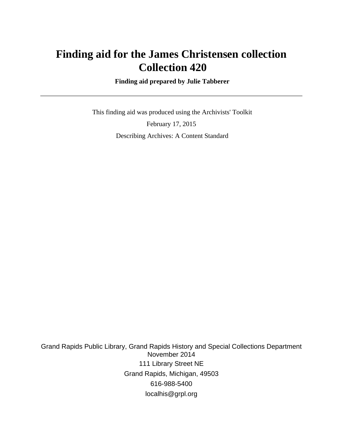# **Finding aid for the James Christensen collection Collection 420**

 **Finding aid prepared by Julie Tabberer**

 This finding aid was produced using the Archivists' Toolkit February 17, 2015 Describing Archives: A Content Standard

Grand Rapids Public Library, Grand Rapids History and Special Collections Department November 2014 111 Library Street NE Grand Rapids, Michigan, 49503 616-988-5400 localhis@grpl.org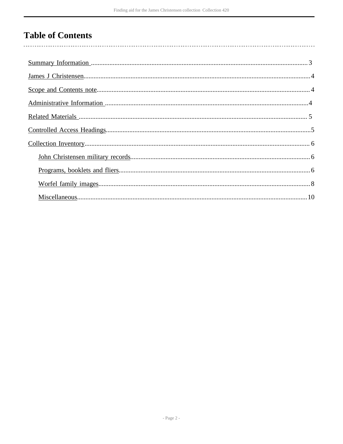# **Table of Contents**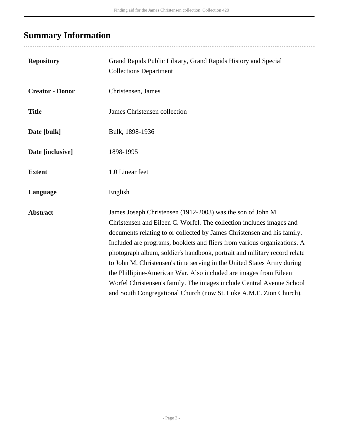# <span id="page-2-0"></span>**Summary Information**

| Grand Rapids Public Library, Grand Rapids History and Special<br><b>Collections Department</b>                                                                                                                                                                                                                                                                                                                                                                                                                                                                                                                                                                        |
|-----------------------------------------------------------------------------------------------------------------------------------------------------------------------------------------------------------------------------------------------------------------------------------------------------------------------------------------------------------------------------------------------------------------------------------------------------------------------------------------------------------------------------------------------------------------------------------------------------------------------------------------------------------------------|
| Christensen, James                                                                                                                                                                                                                                                                                                                                                                                                                                                                                                                                                                                                                                                    |
| James Christensen collection                                                                                                                                                                                                                                                                                                                                                                                                                                                                                                                                                                                                                                          |
| Bulk, 1898-1936                                                                                                                                                                                                                                                                                                                                                                                                                                                                                                                                                                                                                                                       |
| 1898-1995                                                                                                                                                                                                                                                                                                                                                                                                                                                                                                                                                                                                                                                             |
| 1.0 Linear feet                                                                                                                                                                                                                                                                                                                                                                                                                                                                                                                                                                                                                                                       |
| English                                                                                                                                                                                                                                                                                                                                                                                                                                                                                                                                                                                                                                                               |
| James Joseph Christensen (1912-2003) was the son of John M.<br>Christensen and Eileen C. Worfel. The collection includes images and<br>documents relating to or collected by James Christensen and his family.<br>Included are programs, booklets and fliers from various organizations. A<br>photograph album, soldier's handbook, portrait and military record relate<br>to John M. Christensen's time serving in the United States Army during<br>the Phillipine-American War. Also included are images from Eileen<br>Worfel Christensen's family. The images include Central Avenue School<br>and South Congregational Church (now St. Luke A.M.E. Zion Church). |
|                                                                                                                                                                                                                                                                                                                                                                                                                                                                                                                                                                                                                                                                       |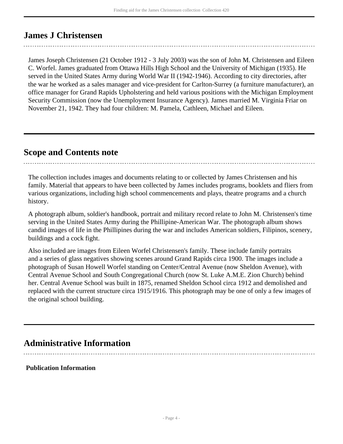# <span id="page-3-0"></span>**James J Christensen**

James Joseph Christensen (21 October 1912 - 3 July 2003) was the son of John M. Christensen and Eileen C. Worfel. James graduated from Ottawa Hills High School and the University of Michigan (1935). He served in the United States Army during World War II (1942-1946). According to city directories, after the war he worked as a sales manager and vice-president for Carlton-Surrey (a furniture manufacturer), an office manager for Grand Rapids Upholstering and held various positions with the Michigan Employment Security Commission (now the Unemployment Insurance Agency). James married M. Virginia Friar on November 21, 1942. They had four children: M. Pamela, Cathleen, Michael and Eileen.

## <span id="page-3-1"></span>**Scope and Contents note**

The collection includes images and documents relating to or collected by James Christensen and his family. Material that appears to have been collected by James includes programs, booklets and fliers from various organizations, including high school commencements and plays, theatre programs and a church history.

A photograph album, soldier's handbook, portrait and military record relate to John M. Christensen's time serving in the United States Army during the Phillipine-American War. The photograph album shows candid images of life in the Phillipines during the war and includes American soldiers, Filipinos, scenery, buildings and a cock fight.

Also included are images from Eileen Worfel Christensen's family. These include family portraits and a series of glass negatives showing scenes around Grand Rapids circa 1900. The images include a photograph of Susan Howell Worfel standing on Center/Central Avenue (now Sheldon Avenue), with Central Avenue School and South Congregational Church (now St. Luke A.M.E. Zion Church) behind her. Central Avenue School was built in 1875, renamed Sheldon School circa 1912 and demolished and replaced with the current structure circa 1915/1916. This photograph may be one of only a few images of the original school building.

# <span id="page-3-2"></span>**Administrative Information**

**Publication Information**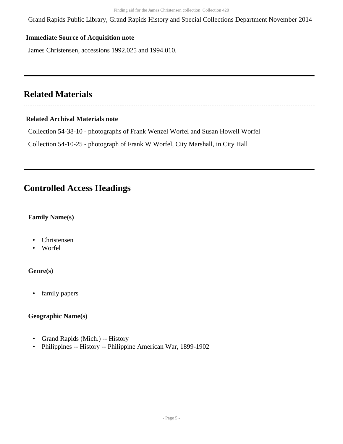Grand Rapids Public Library, Grand Rapids History and Special Collections Department November 2014

#### **Immediate Source of Acquisition note**

James Christensen, accessions 1992.025 and 1994.010.

## <span id="page-4-0"></span>**Related Materials**

#### **Related Archival Materials note**

Collection 54-38-10 - photographs of Frank Wenzel Worfel and Susan Howell Worfel

Collection 54-10-25 - photograph of Frank W Worfel, City Marshall, in City Hall

## <span id="page-4-1"></span>**Controlled Access Headings**

### **Family Name(s)**

- Christensen
- Worfel

#### **Genre(s)**

• family papers

#### **Geographic Name(s)**

- Grand Rapids (Mich.) -- History
- Philippines -- History -- Philippine American War, 1899-1902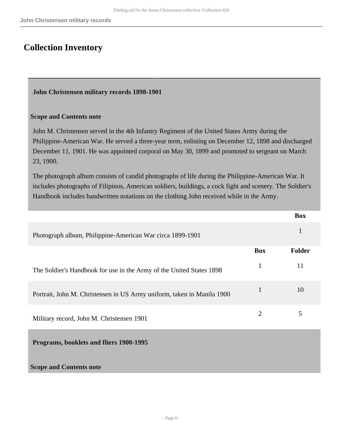# <span id="page-5-0"></span>**Collection Inventory**

#### <span id="page-5-1"></span>**John Christensen military records 1898-1901**

#### **Scope and Contents note**

John M. Christensen served in the 4th Infantry Regiment of the United States Army during the Philippine-American War. He served a three-year term, enlisting on December 12, 1898 and discharged December 11, 1901. He was appointed corporal on May 30, 1899 and promoted to sergeant on March 23, 1900.

The photograph album consists of candid photographs of life during the Philippine-American War. It includes photographs of Filipinos, American soldiers, buildings, a cock fight and scenery. The Soldier's Handbook includes handwritten notations on the clothing John received while in the Army.

<span id="page-5-2"></span>

|                                                                        |                | <b>Box</b>    |
|------------------------------------------------------------------------|----------------|---------------|
| Photograph album, Philippine-American War circa 1899-1901              |                | 1             |
|                                                                        | <b>Box</b>     | <b>Folder</b> |
| The Soldier's Handbook for use in the Army of the United States 1898   | $\mathbf{1}$   | 11            |
| Portrait, John M. Christensen in US Army uniform, taken in Manila 1900 | $\mathbf{1}$   | 10            |
| Military record, John M. Christensen 1901                              | $\overline{2}$ | 5             |
| Programs, booklets and fliers 1900-1995                                |                |               |
| <b>Scope and Contents note</b>                                         |                |               |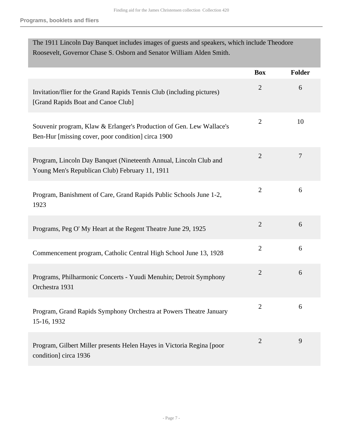| The 1911 Lincoln Day Banquet includes images of guests and speakers, which include Theodore<br>Roosevelt, Governor Chase S. Osborn and Senator William Alden Smith. |                |        |
|---------------------------------------------------------------------------------------------------------------------------------------------------------------------|----------------|--------|
|                                                                                                                                                                     | <b>Box</b>     | Folder |
| Invitation/flier for the Grand Rapids Tennis Club (including pictures)<br>[Grand Rapids Boat and Canoe Club]                                                        | $\overline{2}$ | 6      |
| Souvenir program, Klaw & Erlanger's Production of Gen. Lew Wallace's<br>Ben-Hur [missing cover, poor condition] circa 1900                                          | $\overline{2}$ | 10     |
| Program, Lincoln Day Banquet (Nineteenth Annual, Lincoln Club and<br>Young Men's Republican Club) February 11, 1911                                                 | $\overline{2}$ | 7      |
| Program, Banishment of Care, Grand Rapids Public Schools June 1-2,<br>1923                                                                                          | $\overline{2}$ | 6      |
| Programs, Peg O' My Heart at the Regent Theatre June 29, 1925                                                                                                       | $\overline{2}$ | 6      |
| Commencement program, Catholic Central High School June 13, 1928                                                                                                    | $\overline{2}$ | 6      |
| Programs, Philharmonic Concerts - Yuudi Menuhin; Detroit Symphony<br>Orchestra 1931                                                                                 | $\mathbf{2}$   | 6      |
| Program, Grand Rapids Symphony Orchestra at Powers Theatre January<br>15-16, 1932                                                                                   | $\overline{2}$ | 6      |
| Program, Gilbert Miller presents Helen Hayes in Victoria Regina [poor<br>condition] circa 1936                                                                      | $\overline{2}$ | 9      |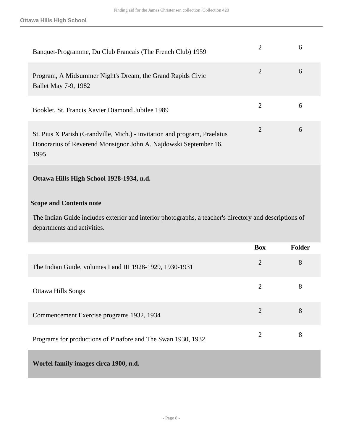| Banquet-Programme, Du Club Français (The French Club) 1959                                                                                            | h |
|-------------------------------------------------------------------------------------------------------------------------------------------------------|---|
| Program, A Midsummer Night's Dream, the Grand Rapids Civic<br>Ballet May 7-9, 1982                                                                    | 6 |
| Booklet, St. Francis Xavier Diamond Jubilee 1989                                                                                                      | 6 |
| St. Pius X Parish (Grandville, Mich.) - invitation and program, Praelatus<br>Honorarius of Reverend Monsignor John A. Najdowski September 16,<br>1995 | 6 |

### **Ottawa Hills High School 1928-1934, n.d.**

#### **Scope and Contents note**

The Indian Guide includes exterior and interior photographs, a teacher's directory and descriptions of departments and activities.

<span id="page-7-0"></span>

|                                                              | <b>Box</b>     | <b>Folder</b> |
|--------------------------------------------------------------|----------------|---------------|
| The Indian Guide, volumes I and III 1928-1929, 1930-1931     | $\overline{2}$ | 8             |
| <b>Ottawa Hills Songs</b>                                    | $\overline{2}$ | 8             |
| Commencement Exercise programs 1932, 1934                    | $\overline{2}$ | 8             |
| Programs for productions of Pinafore and The Swan 1930, 1932 | 2              | 8             |
| Worfel family images circa 1900, n.d.                        |                |               |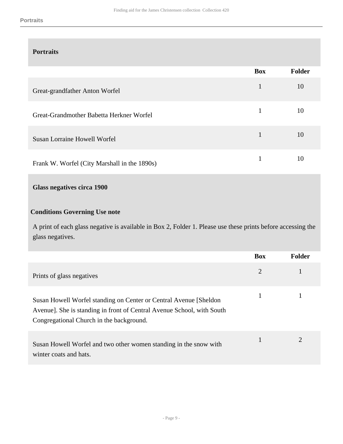### **Portraits**

|                                              | <b>Box</b>   | <b>Folder</b> |
|----------------------------------------------|--------------|---------------|
| Great-grandfather Anton Worfel               | 1            | 10            |
| Great-Grandmother Babetta Herkner Worfel     | 1            | 10            |
| <b>Susan Lorraine Howell Worfel</b>          | $\mathbf{1}$ | 10            |
| Frank W. Worfel (City Marshall in the 1890s) |              | 10            |

### **Glass negatives circa 1900**

### **Conditions Governing Use note**

A print of each glass negative is available in Box 2, Folder 1. Please use these prints before accessing the glass negatives.

|                                                                                                                                                                                          | <b>Box</b> | <b>Folder</b> |
|------------------------------------------------------------------------------------------------------------------------------------------------------------------------------------------|------------|---------------|
| Prints of glass negatives                                                                                                                                                                | 2          |               |
| Susan Howell Worfel standing on Center or Central Avenue [Sheldon]<br>Avenue]. She is standing in front of Central Avenue School, with South<br>Congregational Church in the background. |            |               |
| Susan Howell Worfel and two other women standing in the snow with<br>winter coats and hats.                                                                                              |            | 2             |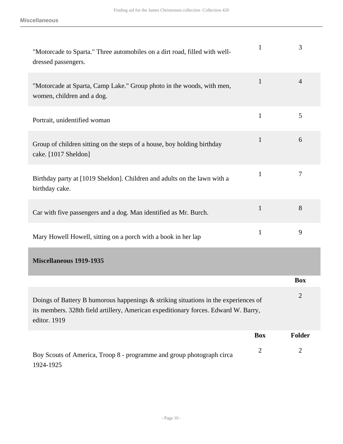<span id="page-9-0"></span>

| "Motorcade to Sparta." Three automobiles on a dirt road, filled with well-<br>dressed passengers.                                                                                          | 1              | 3              |
|--------------------------------------------------------------------------------------------------------------------------------------------------------------------------------------------|----------------|----------------|
| "Motorcade at Sparta, Camp Lake." Group photo in the woods, with men,<br>women, children and a dog.                                                                                        | $\mathbf{1}$   | $\overline{4}$ |
| Portrait, unidentified woman                                                                                                                                                               | $\mathbf{1}$   | 5              |
| Group of children sitting on the steps of a house, boy holding birthday<br>cake. [1017 Sheldon]                                                                                            | 1              | 6              |
| Birthday party at [1019 Sheldon]. Children and adults on the lawn with a<br>birthday cake.                                                                                                 | 1              | 7              |
| Car with five passengers and a dog. Man identified as Mr. Burch.                                                                                                                           | $\mathbf{1}$   | 8              |
| Mary Howell Howell, sitting on a porch with a book in her lap                                                                                                                              | 1              | 9              |
| <b>Miscellaneous 1919-1935</b>                                                                                                                                                             |                |                |
|                                                                                                                                                                                            |                | <b>Box</b>     |
| Doings of Battery B humorous happenings & striking situations in the experiences of<br>its members. 328th field artillery, American expeditionary forces. Edward W. Barry,<br>editor. 1919 |                | $\overline{2}$ |
|                                                                                                                                                                                            | <b>Box</b>     | <b>Folder</b>  |
| Boy Scouts of America, Troop 8 - programme and group photograph circa<br>1924-1925                                                                                                         | $\overline{2}$ | $\overline{2}$ |